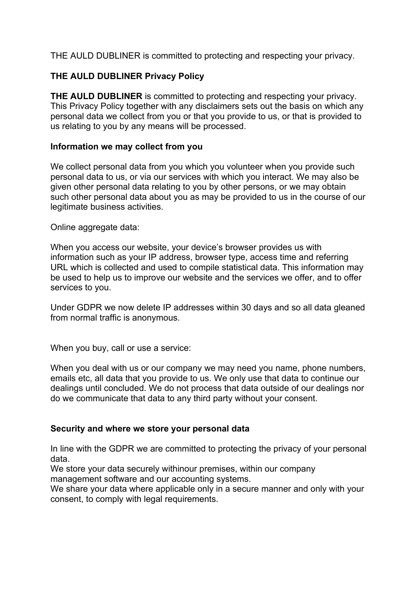THE AULD DUBLINER is committed to protecting and respecting your privacy.

# **THE AULD DUBLINER Privacy Policy**

**THE AULD DUBLINER** is committed to protecting and respecting your privacy. This Privacy Policy together with any disclaimers sets out the basis on which any personal data we collect from you or that you provide to us, or that is provided to us relating to you by any means will be processed.

#### **Information we may collect from you**

We collect personal data from you which you volunteer when you provide such personal data to us, or via our services with which you interact. We may also be given other personal data relating to you by other persons, or we may obtain such other personal data about you as may be provided to us in the course of our legitimate business activities.

Online aggregate data:

When you access our website, your device's browser provides us with information such as your IP address, browser type, access time and referring URL which is collected and used to compile statistical data. This information may be used to help us to improve our website and the services we offer, and to offer services to you.

Under GDPR we now delete IP addresses within 30 days and so all data gleaned from normal traffic is anonymous.

When you buy, call or use a service:

When you deal with us or our company we may need you name, phone numbers, emails etc, all data that you provide to us. We only use that data to continue our dealings until concluded. We do not process that data outside of our dealings nor do we communicate that data to any third party without your consent.

### **Security and where we store your personal data**

In line with the GDPR we are committed to protecting the privacy of your personal data.

We store your data securely withinour premises, within our company management software and our accounting systems.

We share your data where applicable only in a secure manner and only with your consent, to comply with legal requirements.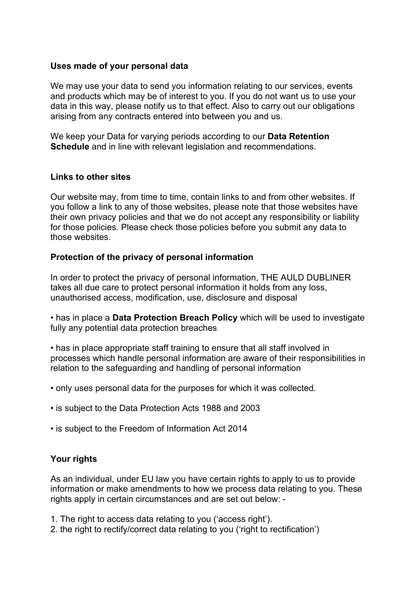#### **Uses made of your personal data**

We may use your data to send you information relating to our services, events and products which may be of interest to you. If you do not want us to use your data in this way, please notify us to that effect. Also to carry out our obligations arising from any contracts entered into between you and us.

We keep your Data for varying periods according to our **Data Retention Schedule** and in line with relevant legislation and recommendations.

#### **Links to other sites**

Our website may, from time to time, contain links to and from other websites. If you follow a link to any of those websites, please note that those websites have their own privacy policies and that we do not accept any responsibility or liability for those policies. Please check those policies before you submit any data to those websites.

### **Protection of the privacy of personal information**

In order to protect the privacy of personal information, THE AULD DUBLINER takes all due care to protect personal information it holds from any loss, unauthorised access, modification, use, disclosure and disposal

• has in place a **Data Protection Breach Policy** which will be used to investigate fully any potential data protection breaches

• has in place appropriate staff training to ensure that all staff involved in processes which handle personal information are aware of their responsibilities in relation to the safeguarding and handling of personal information

- only uses personal data for the purposes for which it was collected.
- is subject to the Data Protection Acts 1988 and 2003
- is subject to the Freedom of Information Act 2014

#### **Your rights**

As an individual, under EU law you have certain rights to apply to us to provide information or make amendments to how we process data relating to you. These rights apply in certain circumstances and are set out below: -

- 1. The right to access data relating to you ('access right').
- 2. the right to rectify/correct data relating to you ('right to rectification')